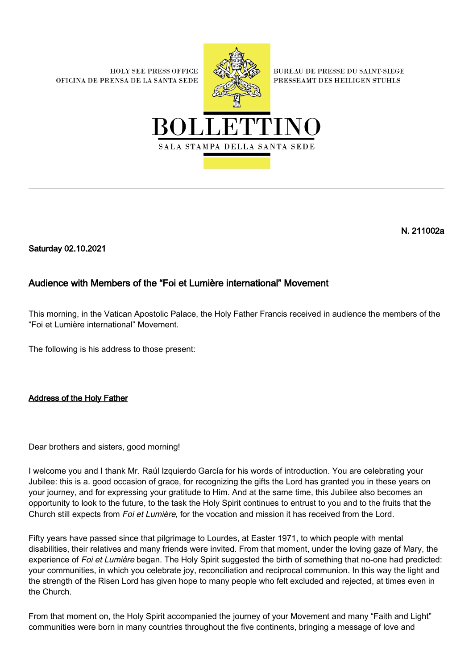**HOLY SEE PRESS OFFICE** OFICINA DE PRENSA DE LA SANTA SEDE



**BUREAU DE PRESSE DU SAINT-SIEGE** PRESSEAMT DES HEILIGEN STUHLS



N. 211002a

Saturday 02.10.2021

## Audience with Members of the "Foi et Lumière international" Movement

This morning, in the Vatican Apostolic Palace, the Holy Father Francis received in audience the members of the "Foi et Lumière international" Movement.

The following is his address to those present:

Address of the Holy Father

Dear brothers and sisters, good morning!

I welcome you and I thank Mr. Raúl Izquierdo García for his words of introduction. You are celebrating your Jubilee: this is a. good occasion of grace, for recognizing the gifts the Lord has granted you in these years on your journey, and for expressing your gratitude to Him. And at the same time, this Jubilee also becomes an opportunity to look to the future, to the task the Holy Spirit continues to entrust to you and to the fruits that the Church still expects from Foi et Lumière, for the vocation and mission it has received from the Lord.

Fifty years have passed since that pilgrimage to Lourdes, at Easter 1971, to which people with mental disabilities, their relatives and many friends were invited. From that moment, under the loving gaze of Mary, the experience of Foi et Lumière began. The Holy Spirit suggested the birth of something that no-one had predicted: your communities, in which you celebrate joy, reconciliation and reciprocal communion. In this way the light and the strength of the Risen Lord has given hope to many people who felt excluded and rejected, at times even in the Church.

From that moment on, the Holy Spirit accompanied the journey of your Movement and many "Faith and Light" communities were born in many countries throughout the five continents, bringing a message of love and